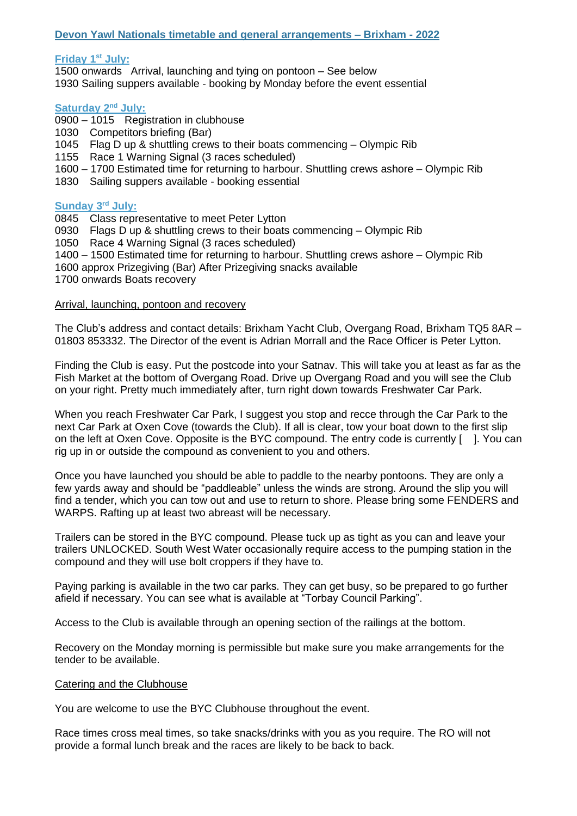# **Devon Yawl Nationals timetable and general arrangements – Brixham - 2022**

### **Friday 1 st July:**

1500 onwards Arrival, launching and tying on pontoon – See below 1930 Sailing suppers available - booking by Monday before the event essential

#### Saturday 2<sup>nd</sup> July:

- 0900 1015 Registration in clubhouse
- 1030 Competitors briefing (Bar)
- 1045 Flag D up & shuttling crews to their boats commencing Olympic Rib
- 1155 Race 1 Warning Signal (3 races scheduled)
- 1600 1700 Estimated time for returning to harbour. Shuttling crews ashore Olympic Rib
- 1830 Sailing suppers available booking essential

## **Sunday 3<sup>rd</sup> July:**

- 0845 Class representative to meet Peter Lytton
- 0930 Flags D up & shuttling crews to their boats commencing Olympic Rib
- 1050 Race 4 Warning Signal (3 races scheduled)
- 1400 1500 Estimated time for returning to harbour. Shuttling crews ashore Olympic Rib
- 1600 approx Prizegiving (Bar) After Prizegiving snacks available
- 1700 onwards Boats recovery

### Arrival, launching, pontoon and recovery

The Club's address and contact details: Brixham Yacht Club, Overgang Road, Brixham TQ5 8AR – 01803 853332. The Director of the event is Adrian Morrall and the Race Officer is Peter Lytton.

Finding the Club is easy. Put the postcode into your Satnav. This will take you at least as far as the Fish Market at the bottom of Overgang Road. Drive up Overgang Road and you will see the Club on your right. Pretty much immediately after, turn right down towards Freshwater Car Park.

When you reach Freshwater Car Park, I suggest you stop and recce through the Car Park to the next Car Park at Oxen Cove (towards the Club). If all is clear, tow your boat down to the first slip on the left at Oxen Cove. Opposite is the BYC compound. The entry code is currently [ ]. You can rig up in or outside the compound as convenient to you and others.

Once you have launched you should be able to paddle to the nearby pontoons. They are only a few yards away and should be "paddleable" unless the winds are strong. Around the slip you will find a tender, which you can tow out and use to return to shore. Please bring some FENDERS and WARPS. Rafting up at least two abreast will be necessary.

Trailers can be stored in the BYC compound. Please tuck up as tight as you can and leave your trailers UNLOCKED. South West Water occasionally require access to the pumping station in the compound and they will use bolt croppers if they have to.

Paying parking is available in the two car parks. They can get busy, so be prepared to go further afield if necessary. You can see what is available at "Torbay Council Parking".

Access to the Club is available through an opening section of the railings at the bottom.

Recovery on the Monday morning is permissible but make sure you make arrangements for the tender to be available.

## Catering and the Clubhouse

You are welcome to use the BYC Clubhouse throughout the event.

Race times cross meal times, so take snacks/drinks with you as you require. The RO will not provide a formal lunch break and the races are likely to be back to back.